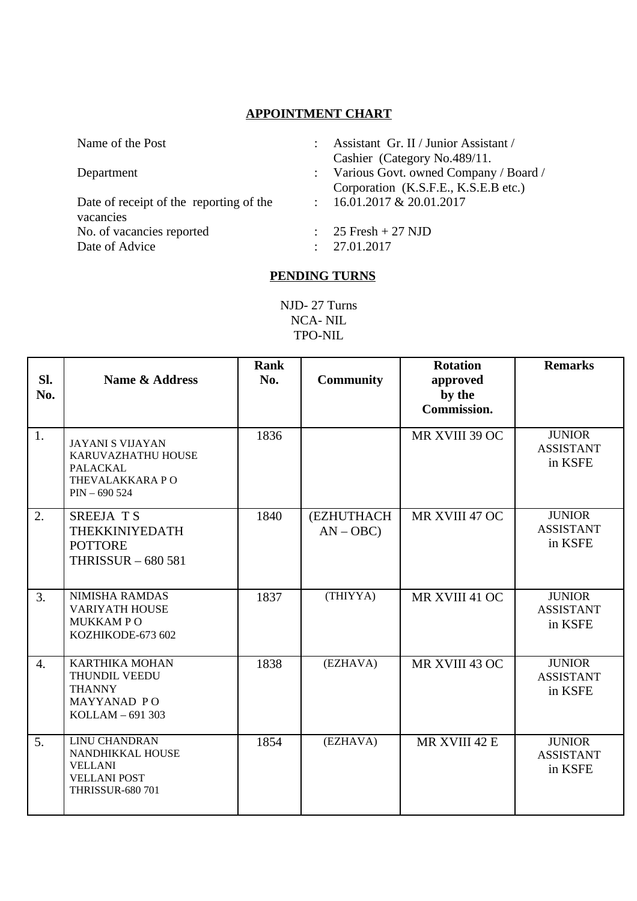## **APPOINTMENT CHART**

Date of receipt of the reporting of the vacancies No. of vacancies reported : 25 Fresh + 27 NJD Date of Advice : 27.01.2017

- Name of the Post : Assistant Gr. II / Junior Assistant /
	- Cashier (Category No.489/11.
- Department : Various Govt. owned Company / Board / Corporation (K.S.F.E., K.S.E.B etc.)
	- : 16.01.2017 & 20.01.2017
	-
	-

## **PENDING TURNS**

NJD- 27 Turns NCA- NIL TPO-NIL

| SI.<br>No. | <b>Name &amp; Address</b>                                                                                    | <b>Rank</b><br>No. | <b>Community</b>         | <b>Rotation</b><br>approved<br>by the<br>Commission. | <b>Remarks</b>                               |
|------------|--------------------------------------------------------------------------------------------------------------|--------------------|--------------------------|------------------------------------------------------|----------------------------------------------|
| 1.         | <b>JAYANI S VIJAYAN</b><br>KARUVAZHATHU HOUSE<br>PALACKAL<br>THEVALAKKARA PO<br>$PIN - 690524$               | 1836               |                          | MR XVIII 39 OC                                       | <b>JUNIOR</b><br><b>ASSISTANT</b><br>in KSFE |
| 2.         | SREEJA T S<br>THEKKINIYEDATH<br><b>POTTORE</b><br><b>THRISSUR - 680 581</b>                                  | 1840               | (EZHUTHACH<br>$AN - OBC$ | MR XVIII 47 OC                                       | <b>JUNIOR</b><br><b>ASSISTANT</b><br>in KSFE |
| 3.         | <b>NIMISHA RAMDAS</b><br><b>VARIYATH HOUSE</b><br><b>MUKKAMPO</b><br>KOZHIKODE-673 602                       | 1837               | (THIYYA)                 | MR XVIII 41 OC                                       | <b>JUNIOR</b><br><b>ASSISTANT</b><br>in KSFE |
| 4.         | <b>KARTHIKA MOHAN</b><br>THUNDIL VEEDU<br><b>THANNY</b><br>MAYYANAD PO<br>KOLLAM - 691 303                   | 1838               | (EZHAVA)                 | MR XVIII 43 OC                                       | <b>JUNIOR</b><br><b>ASSISTANT</b><br>in KSFE |
| 5.         | <b>LINU CHANDRAN</b><br>NANDHIKKAL HOUSE<br><b>VELLANI</b><br><b>VELLANI POST</b><br><b>THRISSUR-680 701</b> | 1854               | (EZHAVA)                 | MR XVIII 42 E                                        | <b>JUNIOR</b><br><b>ASSISTANT</b><br>in KSFE |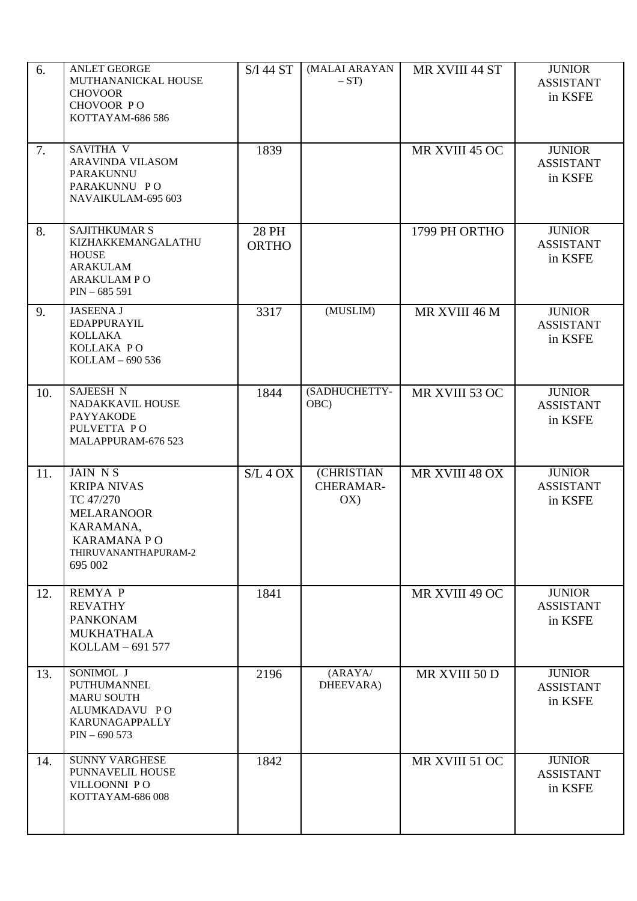| 6.  | <b>ANLET GEORGE</b><br>MUTHANANICKAL HOUSE<br><b>CHOVOOR</b><br>CHOVOOR PO<br>KOTTAYAM-686 586                                               | $S/\sqrt{144} ST$     | (MALAI ARAYAN<br>$-ST$         | MR XVIII 44 ST | <b>JUNIOR</b><br><b>ASSISTANT</b><br>in KSFE |
|-----|----------------------------------------------------------------------------------------------------------------------------------------------|-----------------------|--------------------------------|----------------|----------------------------------------------|
| 7.  | <b>SAVITHA V</b><br><b>ARAVINDA VILASOM</b><br><b>PARAKUNNU</b><br>PARAKUNNU PO<br>NAVAIKULAM-695 603                                        | 1839                  |                                | MR XVIII 45 OC | <b>JUNIOR</b><br><b>ASSISTANT</b><br>in KSFE |
| 8.  | <b>SAJITHKUMAR S</b><br>KIZHAKKEMANGALATHU<br><b>HOUSE</b><br><b>ARAKULAM</b><br><b>ARAKULAMPO</b><br>$PIN - 685591$                         | 28 PH<br><b>ORTHO</b> |                                | 1799 PH ORTHO  | <b>JUNIOR</b><br><b>ASSISTANT</b><br>in KSFE |
| 9.  | <b>JASEENA J</b><br><b>EDAPPURAYIL</b><br><b>KOLLAKA</b><br>KOLLAKA PO<br>KOLLAM - 690 536                                                   | 3317                  | (MUSLIM)                       | MR XVIII 46 M  | <b>JUNIOR</b><br><b>ASSISTANT</b><br>in KSFE |
| 10. | <b>SAJEESH N</b><br>NADAKKAVIL HOUSE<br><b>PAYYAKODE</b><br>PULVETTA PO<br>MALAPPURAM-676 523                                                | 1844                  | (SADHUCHETTY-<br>OBC)          | MR XVIII 53 OC | <b>JUNIOR</b><br><b>ASSISTANT</b><br>in KSFE |
| 11. | <b>JAIN NS</b><br><b>KRIPA NIVAS</b><br>TC 47/270<br><b>MELARANOOR</b><br>KARAMANA,<br><b>KARAMANA PO</b><br>THIRUVANANTHAPURAM-2<br>695 002 | S/L 4 OX              | (CHRISTIAN<br>CHERAMAR-<br>OX) | MR XVIII 48 OX | <b>JUNIOR</b><br><b>ASSISTANT</b><br>in KSFE |
| 12. | <b>REMYA P</b><br><b>REVATHY</b><br><b>PANKONAM</b><br><b>MUKHATHALA</b><br>KOLLAM - 691 577                                                 | 1841                  |                                | MR XVIII 49 OC | <b>JUNIOR</b><br><b>ASSISTANT</b><br>in KSFE |
| 13. | SONIMOL J<br>PUTHUMANNEL<br><b>MARU SOUTH</b><br>ALUMKADAVU PO<br>KARUNAGAPPALLY<br>$PIN - 690 573$                                          | 2196                  | (ARAYA/<br>DHEEVARA)           | MR XVIII 50 D  | <b>JUNIOR</b><br><b>ASSISTANT</b><br>in KSFE |
| 14. | <b>SUNNY VARGHESE</b><br>PUNNAVELIL HOUSE<br>VILLOONNI PO<br>KOTTAYAM-686 008                                                                | 1842                  |                                | MR XVIII 51 OC | <b>JUNIOR</b><br><b>ASSISTANT</b><br>in KSFE |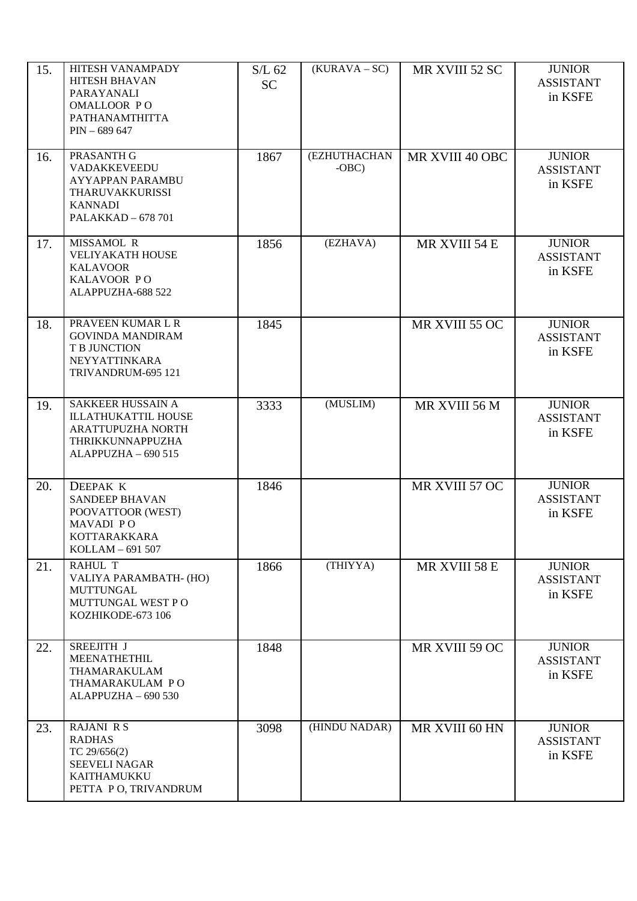| 15. | HITESH VANAMPADY<br><b>HITESH BHAVAN</b><br>PARAYANALI<br>OMALLOOR PO<br>PATHANAMTHITTA<br>$PIN - 689647$               | $S/L$ 62<br><b>SC</b> | $(KURAVA - SC)$          | MR XVIII 52 SC  | <b>JUNIOR</b><br><b>ASSISTANT</b><br>in KSFE |
|-----|-------------------------------------------------------------------------------------------------------------------------|-----------------------|--------------------------|-----------------|----------------------------------------------|
| 16. | PRASANTH G<br><b>VADAKKEVEEDU</b><br><b>AYYAPPAN PARAMBU</b><br>THARUVAKKURISSI<br><b>KANNADI</b><br>PALAKKAD - 678 701 | 1867                  | (EZHUTHACHAN<br>$-OBC$ ) | MR XVIII 40 OBC | <b>JUNIOR</b><br><b>ASSISTANT</b><br>in KSFE |
| 17. | MISSAMOL R<br><b>VELIYAKATH HOUSE</b><br><b>KALAVOOR</b><br>KALAVOOR PO<br>ALAPPUZHA-688 522                            | 1856                  | (EZHAVA)                 | MR XVIII 54 E   | <b>JUNIOR</b><br><b>ASSISTANT</b><br>in KSFE |
| 18. | PRAVEEN KUMAR L R<br><b>GOVINDA MANDIRAM</b><br>T B JUNCTION<br><b>NEYYATTINKARA</b><br>TRIVANDRUM-695 121              | 1845                  |                          | MR XVIII 55 OC  | <b>JUNIOR</b><br><b>ASSISTANT</b><br>in KSFE |
| 19. | SAKKEER HUSSAIN A<br><b>ILLATHUKATTIL HOUSE</b><br>ARATTUPUZHA NORTH<br>THRIKKUNNAPPUZHA<br>ALAPPUZHA - 690 515         | 3333                  | (MUSLIM)                 | MR XVIII 56 M   | <b>JUNIOR</b><br><b>ASSISTANT</b><br>in KSFE |
| 20. | DEEPAK K<br><b>SANDEEP BHAVAN</b><br>POOVATTOOR (WEST)<br>MAVADI PO<br>KOTTARAKKARA<br>KOLLAM - 691 507                 | 1846                  |                          | MR XVIII 57 OC  | <b>JUNIOR</b><br><b>ASSISTANT</b><br>in KSFE |
| 21. | <b>RAHUL T</b><br>VALIYA PARAMBATH- (HO)<br><b>MUTTUNGAL</b><br>MUTTUNGAL WEST PO<br>KOZHIKODE-673 106                  | 1866                  | (THIYYA)                 | MR XVIII 58 E   | <b>JUNIOR</b><br><b>ASSISTANT</b><br>in KSFE |
| 22. | SREEJITH J<br>MEENATHETHIL<br>THAMARAKULAM<br>THAMARAKULAM PO<br>ALAPPUZHA - 690 530                                    | 1848                  |                          | MR XVIII 59 OC  | <b>JUNIOR</b><br><b>ASSISTANT</b><br>in KSFE |
| 23. | <b>RAJANI R S</b><br><b>RADHAS</b><br>TC 29/656(2)<br><b>SEEVELI NAGAR</b><br>KAITHAMUKKU<br>PETTA PO, TRIVANDRUM       | 3098                  | (HINDU NADAR)            | MR XVIII 60 HN  | <b>JUNIOR</b><br><b>ASSISTANT</b><br>in KSFE |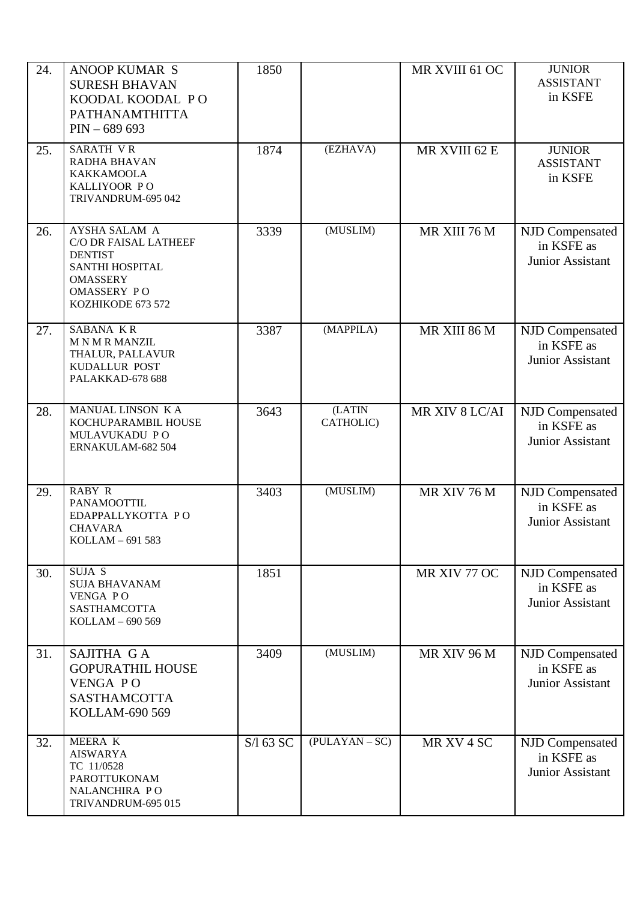| 24. | <b>ANOOP KUMAR S</b><br><b>SURESH BHAVAN</b><br>KOODAL KOODAL PO<br>PATHANAMTHITTA<br>$PIN - 689693$                                             | 1850      |                     | MR XVIII 61 OC | <b>JUNIOR</b><br><b>ASSISTANT</b><br>in KSFE             |
|-----|--------------------------------------------------------------------------------------------------------------------------------------------------|-----------|---------------------|----------------|----------------------------------------------------------|
| 25. | <b>SARATH VR</b><br><b>RADHA BHAVAN</b><br><b>KAKKAMOOLA</b><br>KALLIYOOR PO<br>TRIVANDRUM-695 042                                               | 1874      | (EZHAVA)            | MR XVIII 62 E  | <b>JUNIOR</b><br><b>ASSISTANT</b><br>in KSFE             |
| 26. | <b>AYSHA SALAM A</b><br>C/O DR FAISAL LATHEEF<br><b>DENTIST</b><br>SANTHI HOSPITAL<br><b>OMASSERY</b><br><b>OMASSERY PO</b><br>KOZHIKODE 673 572 | 3339      | (MUSLIM)            | MR XIII 76 M   | NJD Compensated<br>in KSFE as<br><b>Junior Assistant</b> |
| 27. | <b>SABANA KR</b><br><b>MNMRMANZIL</b><br>THALUR, PALLAVUR<br>KUDALLUR POST<br>PALAKKAD-678 688                                                   | 3387      | (MAPPILA)           | MR XIII 86 M   | NJD Compensated<br>in KSFE as<br><b>Junior Assistant</b> |
| 28. | MANUAL LINSON K A<br>KOCHUPARAMBIL HOUSE<br>MULAVUKADU PO<br>ERNAKULAM-682 504                                                                   | 3643      | (LATIN<br>CATHOLIC) | MR XIV 8 LC/AI | NJD Compensated<br>in KSFE as<br>Junior Assistant        |
| 29. | <b>RABY R</b><br>PANAMOOTTIL<br>EDAPPALLYKOTTA PO<br><b>CHAVARA</b><br>KOLLAM - 691 583                                                          | 3403      | (MUSLIM)            | MR XIV 76 M    | NJD Compensated<br>in KSFE as<br>Junior Assistant        |
| 30. | SUJA S<br><b>SUJA BHAVANAM</b><br><b>VENGA PO</b><br>SASTHAMCOTTA<br>KOLLAM - 690 569                                                            | 1851      |                     | MR XIV 77 OC   | NJD Compensated<br>in KSFE as<br>Junior Assistant        |
| 31. | SAJITHA GA<br><b>GOPURATHIL HOUSE</b><br>VENGA PO<br><b>SASTHAMCOTTA</b><br>KOLLAM-690 569                                                       | 3409      | (MUSLIM)            | MR XIV 96 M    | NJD Compensated<br>in KSFE as<br><b>Junior Assistant</b> |
| 32. | MEERA K<br><b>AISWARYA</b><br>TC 11/0528<br>PAROTTUKONAM<br>NALANCHIRA PO<br>TRIVANDRUM-695 015                                                  | S/l 63 SC | $(PULAYAN - SC)$    | MR XV 4 SC     | NJD Compensated<br>in KSFE as<br><b>Junior Assistant</b> |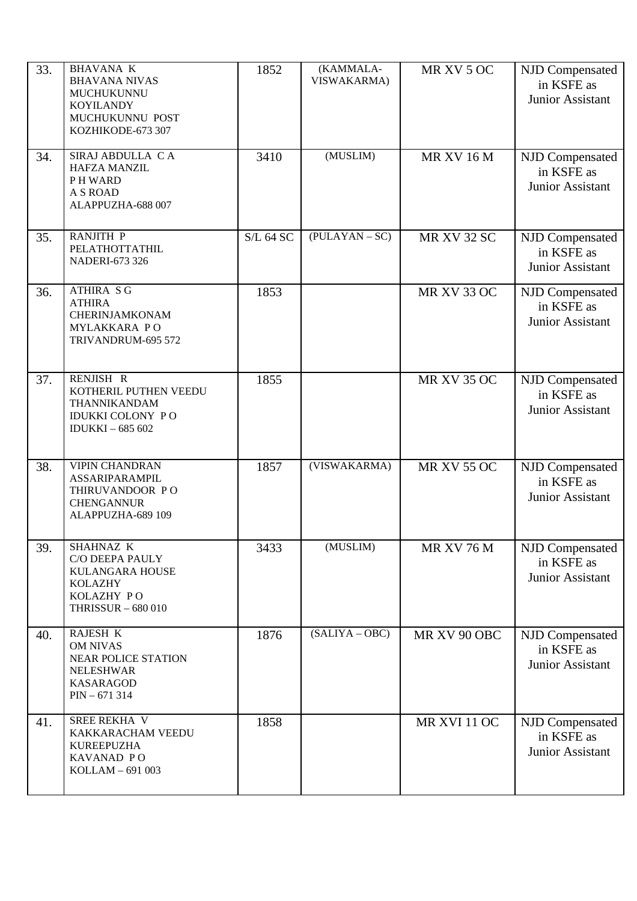| 33. | <b>BHAVANA K</b><br><b>BHAVANA NIVAS</b><br>MUCHUKUNNU<br><b>KOYILANDY</b><br>MUCHUKUNNU POST<br>KOZHIKODE-673 307  | 1852             | (KAMMALA-<br>VISWAKARMA) | MR XV 5 OC          | NJD Compensated<br>in KSFE as<br><b>Junior Assistant</b> |
|-----|---------------------------------------------------------------------------------------------------------------------|------------------|--------------------------|---------------------|----------------------------------------------------------|
| 34. | SIRAJ ABDULLA CA<br><b>HAFZA MANZIL</b><br>PH WARD<br>A S ROAD<br>ALAPPUZHA-688 007                                 | 3410             | (MUSLIM)                 | <b>MR XV 16 M</b>   | NJD Compensated<br>in KSFE as<br>Junior Assistant        |
| 35. | <b>RANJITH P</b><br>PELATHOTTATHIL<br><b>NADERI-673 326</b>                                                         | <b>S/L 64 SC</b> | $(PULAYAN - SC)$         | <b>MR XV 32 SC</b>  | NJD Compensated<br>in KSFE as<br><b>Junior Assistant</b> |
| 36. | <b>ATHIRA SG</b><br><b>ATHIRA</b><br><b>CHERINJAMKONAM</b><br>MYLAKKARA PO<br>TRIVANDRUM-695 572                    | 1853             |                          | <b>MR XV 33 OC</b>  | NJD Compensated<br>in KSFE as<br><b>Junior Assistant</b> |
| 37. | RENJISH R<br>KOTHERIL PUTHEN VEEDU<br>THANNIKANDAM<br><b>IDUKKI COLONY PO</b><br><b>IDUKKI-685 602</b>              | 1855             |                          | <b>MR XV 35 OC</b>  | NJD Compensated<br>in KSFE as<br>Junior Assistant        |
| 38. | <b>VIPIN CHANDRAN</b><br><b>ASSARIPARAMPIL</b><br>THIRUVANDOOR PO<br><b>CHENGANNUR</b><br>ALAPPUZHA-689 109         | 1857             | (VISWAKARMA)             | <b>MR XV 55 OC</b>  | NJD Compensated<br>in KSFE as<br><b>Junior Assistant</b> |
| 39. | SHAHNAZ K<br>C/O DEEPA PAULY<br>KULANGARA HOUSE<br><b>KOLAZHY</b><br>KOLAZHY PO<br><b>THRISSUR - 680 010</b>        | 3433             | (MUSLIM)                 | <b>MR XV 76 M</b>   | NJD Compensated<br>in KSFE as<br>Junior Assistant        |
| 40. | RAJESH K<br><b>OM NIVAS</b><br><b>NEAR POLICE STATION</b><br><b>NELESHWAR</b><br><b>KASARAGOD</b><br>$PIN - 671314$ | 1876             | $(SALIYA - OBC)$         | MR XV 90 OBC        | NJD Compensated<br>in KSFE as<br><b>Junior Assistant</b> |
| 41. | SREE REKHA V<br>KAKKARACHAM VEEDU<br><b>KUREEPUZHA</b><br>KAVANAD PO<br>KOLLAM - 691 003                            | 1858             |                          | <b>MR XVI 11 OC</b> | NJD Compensated<br>in KSFE as<br>Junior Assistant        |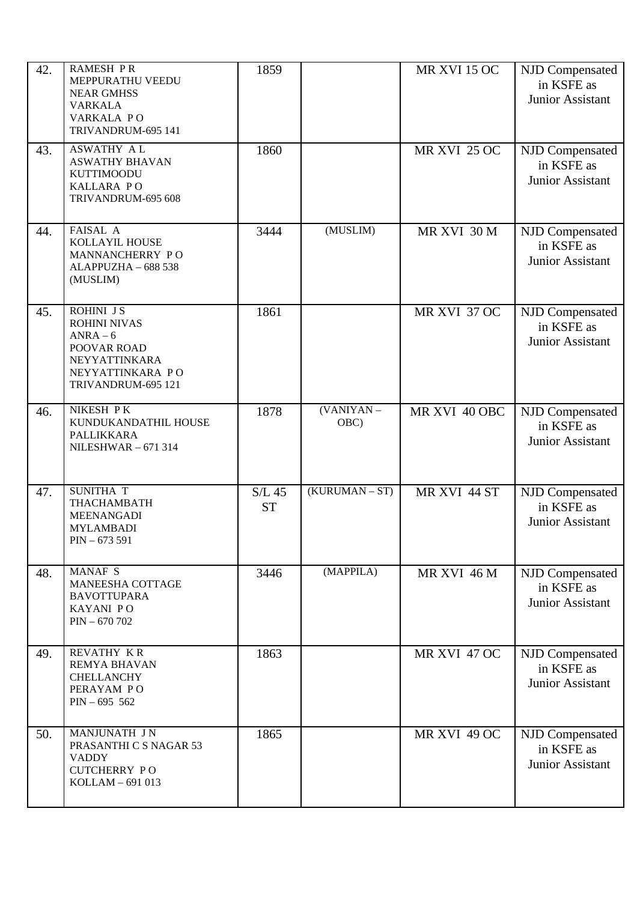| 42. | <b>RAMESH PR</b><br>MEPPURATHU VEEDU<br><b>NEAR GMHSS</b><br><b>VARKALA</b><br>VARKALA PO<br>TRIVANDRUM-695 141        | 1859                  |                    | <b>MR XVI 15 OC</b> | NJD Compensated<br>in KSFE as<br><b>Junior Assistant</b> |
|-----|------------------------------------------------------------------------------------------------------------------------|-----------------------|--------------------|---------------------|----------------------------------------------------------|
| 43. | <b>ASWATHY AL</b><br><b>ASWATHY BHAVAN</b><br><b>KUTTIMOODU</b><br><b>KALLARA PO</b><br>TRIVANDRUM-695 608             | 1860                  |                    | <b>MR XVI 25 OC</b> | NJD Compensated<br>in KSFE as<br>Junior Assistant        |
| 44. | FAISAL A<br>KOLLAYIL HOUSE<br>MANNANCHERRY PO<br>ALAPPUZHA - 688 538<br>(MUSLIM)                                       | 3444                  | (MUSLIM)           | MR XVI 30 M         | NJD Compensated<br>in KSFE as<br>Junior Assistant        |
| 45. | ROHINI JS<br><b>ROHINI NIVAS</b><br>$ANRA-6$<br>POOVAR ROAD<br>NEYYATTINKARA<br>NEYYATTINKARA PO<br>TRIVANDRUM-695 121 | 1861                  |                    | MR XVI 37 OC        | NJD Compensated<br>in KSFE as<br><b>Junior Assistant</b> |
| 46. | NIKESH PK<br>KUNDUKANDATHIL HOUSE<br>PALLIKKARA<br><b>NILESHWAR-671314</b>                                             | 1878                  | (VANIYAN -<br>OBC) | MR XVI 40 OBC       | NJD Compensated<br>in KSFE as<br>Junior Assistant        |
| 47. | SUNITHA T<br>THACHAMBATH<br><b>MEENANGADI</b><br><b>MYLAMBADI</b><br>$PIN - 673591$                                    | $S/L$ 45<br><b>ST</b> | (KURUMAN – ST)     | MR XVI 44 ST        | NJD Compensated<br>in KSFE as<br>Junior Assistant        |
| 48. | MANAF S<br>MANEESHA COTTAGE<br><b>BAVOTTUPARA</b><br>KAYANI PO<br>$PIN - 670702$                                       | 3446                  | (MAPPILA)          | MR XVI 46 M         | NJD Compensated<br>in KSFE as<br>Junior Assistant        |
| 49. | <b>REVATHY KR</b><br><b>REMYA BHAVAN</b><br>CHELLANCHY<br>PERAYAM PO<br>$PIN - 695 562$                                | 1863                  |                    | MR XVI 47 OC        | NJD Compensated<br>in KSFE as<br><b>Junior Assistant</b> |
| 50. | MANJUNATH J N<br>PRASANTHI C S NAGAR 53<br><b>VADDY</b><br><b>CUTCHERRY PO</b><br>KOLLAM - 691 013                     | 1865                  |                    | <b>MR XVI 49 OC</b> | NJD Compensated<br>in KSFE as<br>Junior Assistant        |